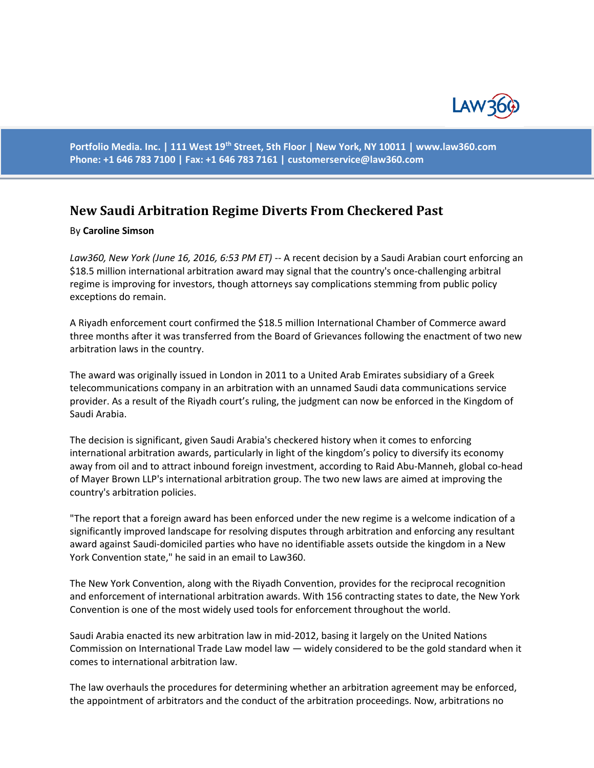

**Portfolio Media. Inc. | 111 West 19th Street, 5th Floor | New York, NY 10011 | www.law360.com Phone: +1 646 783 7100 | Fax: +1 646 783 7161 | [customerservice@law360.com](mailto:customerservice@law360.com)**

## **New Saudi Arbitration Regime Diverts From Checkered Past**

## By **Caroline Simson**

*Law360, New York (June 16, 2016, 6:53 PM ET)* -- A recent decision by a Saudi Arabian court enforcing an \$18.5 million international arbitration award may signal that the country's once-challenging arbitral regime is improving for investors, though attorneys say complications stemming from public policy exceptions do remain.

A Riyadh enforcement court confirmed the \$18.5 million International Chamber of Commerce award three months after it was transferred from the Board of Grievances following the enactment of two new arbitration laws in the country.

The award was originally issued in London in 2011 to a United Arab Emirates subsidiary of a Greek telecommunications company in an arbitration with an unnamed Saudi data communications service provider. As a result of the Riyadh court's ruling, the judgment can now be enforced in the Kingdom of Saudi Arabia.

The decision is significant, given Saudi Arabia's checkered history when it comes to enforcing international arbitration awards, particularly in light of the kingdom's policy to diversify its economy away from oil and to attract inbound foreign investment, according to Raid Abu-Manneh, global co-head of Mayer Brown LLP's international arbitration group. The two new laws are aimed at improving the country's arbitration policies.

"The report that a foreign award has been enforced under the new regime is a welcome indication of a significantly improved landscape for resolving disputes through arbitration and enforcing any resultant award against Saudi-domiciled parties who have no identifiable assets outside the kingdom in a New York Convention state," he said in an email to Law360.

The New York Convention, along with the Riyadh Convention, provides for the reciprocal recognition and enforcement of international arbitration awards. With 156 contracting states to date, the New York Convention is one of the most widely used tools for enforcement throughout the world.

Saudi Arabia enacted its new arbitration law in mid-2012, basing it largely on the United Nations Commission on International Trade Law model law — widely considered to be the gold standard when it comes to international arbitration law.

The law overhauls the procedures for determining whether an arbitration agreement may be enforced, the appointment of arbitrators and the conduct of the arbitration proceedings. Now, arbitrations no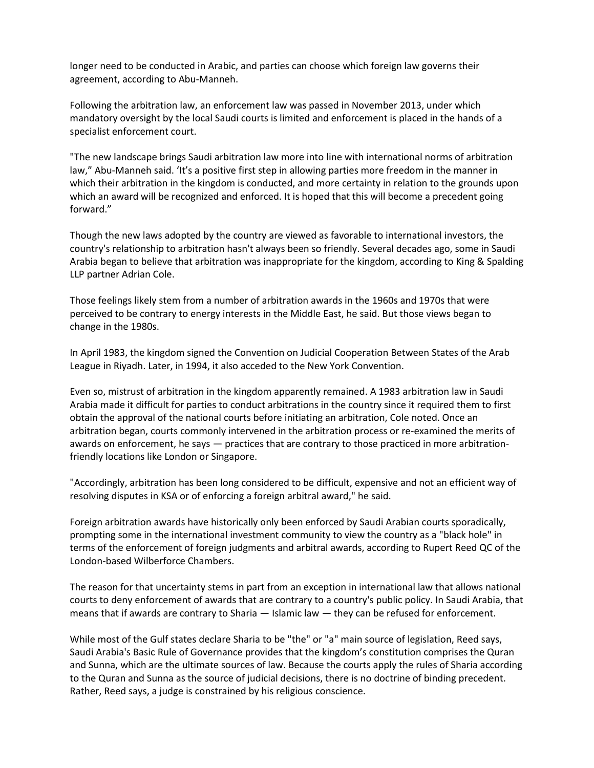longer need to be conducted in Arabic, and parties can choose which foreign law governs their agreement, according to Abu-Manneh.

Following the arbitration law, an enforcement law was passed in November 2013, under which mandatory oversight by the local Saudi courts is limited and enforcement is placed in the hands of a specialist enforcement court.

"The new landscape brings Saudi arbitration law more into line with international norms of arbitration law," Abu-Manneh said. 'It's a positive first step in allowing parties more freedom in the manner in which their arbitration in the kingdom is conducted, and more certainty in relation to the grounds upon which an award will be recognized and enforced. It is hoped that this will become a precedent going forward."

Though the new laws adopted by the country are viewed as favorable to international investors, the country's relationship to arbitration hasn't always been so friendly. Several decades ago, some in Saudi Arabia began to believe that arbitration was inappropriate for the kingdom, according to King & Spalding LLP partner Adrian Cole.

Those feelings likely stem from a number of arbitration awards in the 1960s and 1970s that were perceived to be contrary to energy interests in the Middle East, he said. But those views began to change in the 1980s.

In April 1983, the kingdom signed the Convention on Judicial Cooperation Between States of the Arab League in Riyadh. Later, in 1994, it also acceded to the New York Convention.

Even so, mistrust of arbitration in the kingdom apparently remained. A 1983 arbitration law in Saudi Arabia made it difficult for parties to conduct arbitrations in the country since it required them to first obtain the approval of the national courts before initiating an arbitration, Cole noted. Once an arbitration began, courts commonly intervened in the arbitration process or re-examined the merits of awards on enforcement, he says — practices that are contrary to those practiced in more arbitrationfriendly locations like London or Singapore.

"Accordingly, arbitration has been long considered to be difficult, expensive and not an efficient way of resolving disputes in KSA or of enforcing a foreign arbitral award," he said.

Foreign arbitration awards have historically only been enforced by Saudi Arabian courts sporadically, prompting some in the international investment community to view the country as a "black hole" in terms of the enforcement of foreign judgments and arbitral awards, according to Rupert Reed QC of the London-based Wilberforce Chambers.

The reason for that uncertainty stems in part from an exception in international law that allows national courts to deny enforcement of awards that are contrary to a country's public policy. In Saudi Arabia, that means that if awards are contrary to Sharia — Islamic law — they can be refused for enforcement.

While most of the Gulf states declare Sharia to be "the" or "a" main source of legislation, Reed says, Saudi Arabia's Basic Rule of Governance provides that the kingdom's constitution comprises the Quran and Sunna, which are the ultimate sources of law. Because the courts apply the rules of Sharia according to the Quran and Sunna as the source of judicial decisions, there is no doctrine of binding precedent. Rather, Reed says, a judge is constrained by his religious conscience.